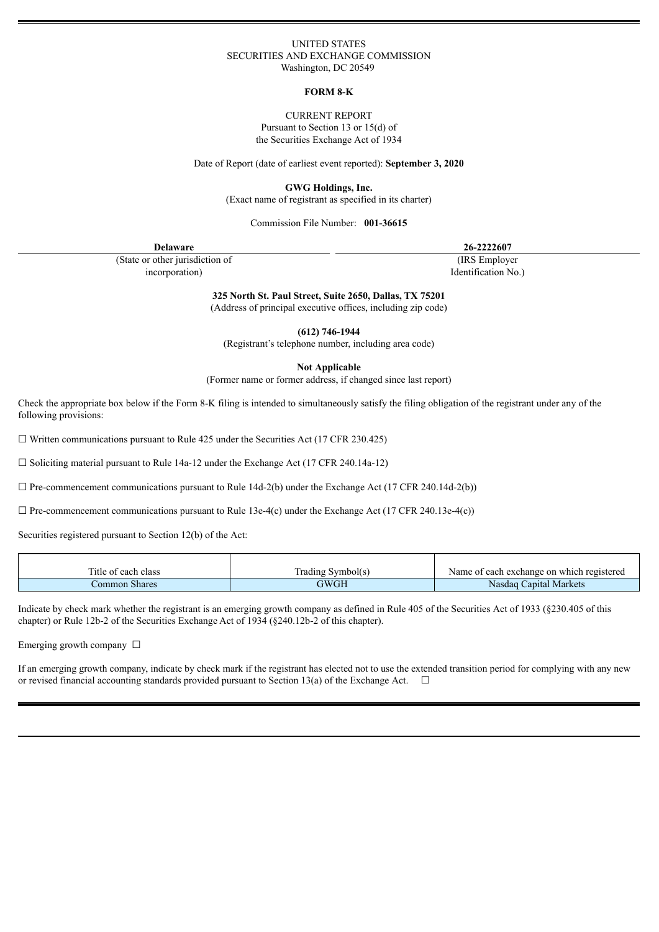## UNITED STATES SECURITIES AND EXCHANGE COMMISSION Washington, DC 20549

#### **FORM 8-K**

#### CURRENT REPORT

Pursuant to Section 13 or 15(d) of the Securities Exchange Act of 1934

Date of Report (date of earliest event reported): **September 3, 2020**

**GWG Holdings, Inc.**

(Exact name of registrant as specified in its charter)

Commission File Number: **001-36615**

| <b>Delaware</b>                 | 26-2222607          |
|---------------------------------|---------------------|
| (State or other jurisdiction of | (IRS Employer)      |
| incorporation)                  | Identification No.) |

**325 North St. Paul Street, Suite 2650, Dallas, TX 75201**

(Address of principal executive offices, including zip code)

**(612) 746-1944**

(Registrant's telephone number, including area code)

**Not Applicable**

(Former name or former address, if changed since last report)

Check the appropriate box below if the Form 8-K filing is intended to simultaneously satisfy the filing obligation of the registrant under any of the following provisions:

 $\Box$  Written communications pursuant to Rule 425 under the Securities Act (17 CFR 230.425)

 $\Box$  Soliciting material pursuant to Rule 14a-12 under the Exchange Act (17 CFR 240.14a-12)

 $\Box$  Pre-commencement communications pursuant to Rule 14d-2(b) under the Exchange Act (17 CFR 240.14d-2(b))

 $\Box$  Pre-commencement communications pursuant to Rule 13e-4(c) under the Exchange Act (17 CFR 240.13e-4(c))

Securities registered pursuant to Section 12(b) of the Act:

| l'itle of each class | Irading Symbol(s) | f each exchange on which registered<br>Name of |
|----------------------|-------------------|------------------------------------------------|
| Common Shares        | GWGH              | Capital Markets<br>Nasdaq                      |

Indicate by check mark whether the registrant is an emerging growth company as defined in Rule 405 of the Securities Act of 1933 (§230.405 of this chapter) or Rule 12b-2 of the Securities Exchange Act of 1934 (§240.12b-2 of this chapter).

Emerging growth company  $\Box$ 

If an emerging growth company, indicate by check mark if the registrant has elected not to use the extended transition period for complying with any new or revised financial accounting standards provided pursuant to Section 13(a) of the Exchange Act.  $\Box$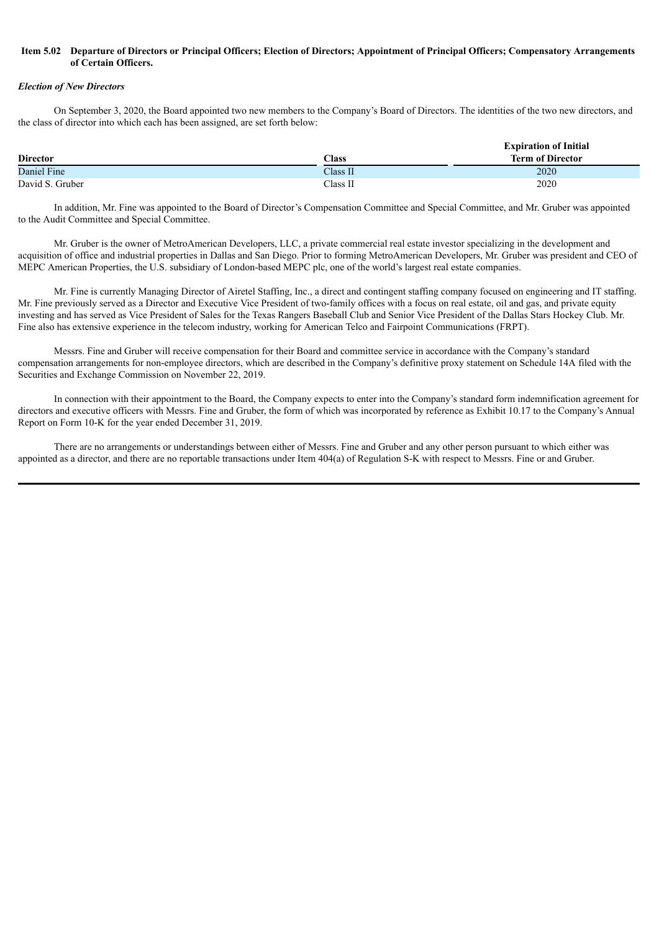## Item 5.02 Departure of Directors or Principal Officers; Election of Directors; Appointment of Principal Officers; Compensatory Arrangements **of Certain Officers.**

#### *Election of New Directors*

On September 3, 2020, the Board appointed two new members to the Company's Board of Directors. The identities of the two new directors, and the class of director into which each has been assigned, are set forth below:

|                 |          | <b>Expiration of Initial</b> |
|-----------------|----------|------------------------------|
| <b>Director</b> | Class    | <b>Term of Director</b>      |
| Daniel Fine     | Class II | 2020                         |
| David S. Gruber | Class II | 2020                         |

In addition, Mr. Fine was appointed to the Board of Director's Compensation Committee and Special Committee, and Mr. Gruber was appointed to the Audit Committee and Special Committee.

Mr. Gruber is the owner of MetroAmerican Developers, LLC, a private commercial real estate investor specializing in the development and acquisition of office and industrial properties in Dallas and San Diego. Prior to forming MetroAmerican Developers, Mr. Gruber was president and CEO of MEPC American Properties, the U.S. subsidiary of London-based MEPC plc, one of the world's largest real estate companies.

Mr. Fine is currently Managing Director of Airetel Staffing, Inc., a direct and contingent staffing company focused on engineering and IT staffing. Mr. Fine previously served as a Director and Executive Vice President of two-family offices with a focus on real estate, oil and gas, and private equity investing and has served as Vice President of Sales for the Texas Rangers Baseball Club and Senior Vice President of the Dallas Stars Hockey Club. Mr. Fine also has extensive experience in the telecom industry, working for American Telco and Fairpoint Communications (FRPT).

Messrs. Fine and Gruber will receive compensation for their Board and committee service in accordance with the Company's standard compensation arrangements for non-employee directors, which are described in the Company's definitive proxy statement on Schedule 14A filed with the Securities and Exchange Commission on November 22, 2019.

In connection with their appointment to the Board, the Company expects to enter into the Company's standard form indemnification agreement for directors and executive officers with Messrs. Fine and Gruber, the form of which was incorporated by reference as Exhibit 10.17 to the Company's Annual Report on Form 10-K for the year ended December 31, 2019.

There are no arrangements or understandings between either of Messrs. Fine and Gruber and any other person pursuant to which either was appointed as a director, and there are no reportable transactions under Item 404(a) of Regulation S-K with respect to Messrs. Fine or and Gruber.